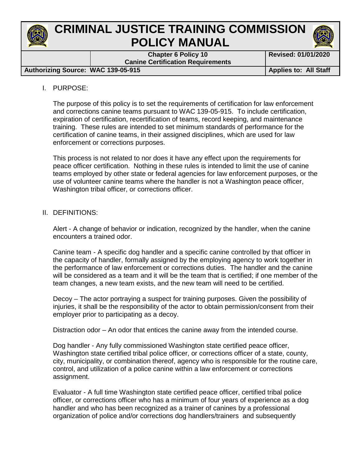

# **CRIMINAL JUSTICE TRAINING COMMISSION POLICY MANUAL**

**Chapter 6 Policy 10 Canine Certification Requirements**

Authorizing Source: WAC 139-05-915

#### I. PURPOSE:

The purpose of this policy is to set the requirements of certification for law enforcement and corrections canine teams pursuant to WAC 139-05-915. To include certification, expiration of certification, recertification of teams, record keeping, and maintenance training. These rules are intended to set minimum standards of performance for the certification of canine teams, in their assigned disciplines, which are used for law enforcement or corrections purposes.

This process is not related to nor does it have any effect upon the requirements for peace officer certification. Nothing in these rules is intended to limit the use of canine teams employed by other state or federal agencies for law enforcement purposes, or the use of volunteer canine teams where the handler is not a Washington peace officer, Washington tribal officer, or corrections officer.

#### II. DEFINITIONS:

Alert - A change of behavior or indication, recognized by the handler, when the canine encounters a trained odor.

Canine team - A specific dog handler and a specific canine controlled by that officer in the capacity of handler, formally assigned by the employing agency to work together in the performance of law enforcement or corrections duties. The handler and the canine will be considered as a team and it will be the team that is certified; if one member of the team changes, a new team exists, and the new team will need to be certified.

Decoy – The actor portraying a suspect for training purposes. Given the possibility of injuries, it shall be the responsibility of the actor to obtain permission/consent from their employer prior to participating as a decoy.

Distraction odor – An odor that entices the canine away from the intended course.

Dog handler - Any fully commissioned Washington state certified peace officer, Washington state certified tribal police officer, or corrections officer of a state, county, city, municipality, or combination thereof, agency who is responsible for the routine care, control, and utilization of a police canine within a law enforcement or corrections assignment.

Evaluator - A full time Washington state certified peace officer, certified tribal police officer, or corrections officer who has a minimum of four years of experience as a dog handler and who has been recognized as a trainer of canines by a professional organization of police and/or corrections dog handlers/trainers and subsequently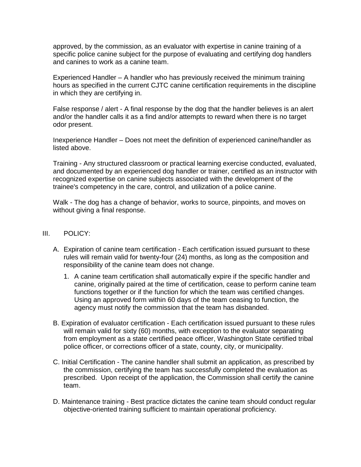approved, by the commission, as an evaluator with expertise in canine training of a specific police canine subject for the purpose of evaluating and certifying dog handlers and canines to work as a canine team.

Experienced Handler – A handler who has previously received the minimum training hours as specified in the current CJTC canine certification requirements in the discipline in which they are certifying in.

False response / alert - A final response by the dog that the handler believes is an alert and/or the handler calls it as a find and/or attempts to reward when there is no target odor present.

Inexperience Handler – Does not meet the definition of experienced canine/handler as listed above.

Training - Any structured classroom or practical learning exercise conducted, evaluated, and documented by an experienced dog handler or trainer, certified as an instructor with recognized expertise on canine subjects associated with the development of the trainee's competency in the care, control, and utilization of a police canine.

Walk - The dog has a change of behavior, works to source, pinpoints, and moves on without giving a final response.

- III. POLICY:
	- A. Expiration of canine team certification Each certification issued pursuant to these rules will remain valid for twenty-four (24) months, as long as the composition and responsibility of the canine team does not change.
		- 1. A canine team certification shall automatically expire if the specific handler and canine, originally paired at the time of certification, cease to perform canine team functions together or if the function for which the team was certified changes. Using an approved form within 60 days of the team ceasing to function, the agency must notify the commission that the team has disbanded.
	- B. Expiration of evaluator certification Each certification issued pursuant to these rules will remain valid for sixty (60) months, with exception to the evaluator separating from employment as a state certified peace officer, Washington State certified tribal police officer, or corrections officer of a state, county, city, or municipality.
	- C. Initial Certification The canine handler shall submit an application, as prescribed by the commission, certifying the team has successfully completed the evaluation as prescribed. Upon receipt of the application, the Commission shall certify the canine team.
	- D. Maintenance training Best practice dictates the canine team should conduct regular objective-oriented training sufficient to maintain operational proficiency.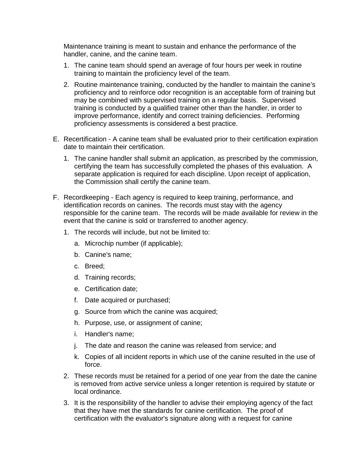Maintenance training is meant to sustain and enhance the performance of the handler, canine, and the canine team.

- 1. The canine team should spend an average of four hours per week in routine training to maintain the proficiency level of the team.
- 2. Routine maintenance training, conducted by the handler to maintain the canine's proficiency and to reinforce odor recognition is an acceptable form of training but may be combined with supervised training on a regular basis. Supervised training is conducted by a qualified trainer other than the handler, in order to improve performance, identify and correct training deficiencies. Performing proficiency assessments is considered a best practice.
- E. Recertification A canine team shall be evaluated prior to their certification expiration date to maintain their certification.
	- 1. The canine handler shall submit an application, as prescribed by the commission, certifying the team has successfully completed the phases of this evaluation. A separate application is required for each discipline. Upon receipt of application, the Commission shall certify the canine team.
- F. Recordkeeping Each agency is required to keep training, performance, and identification records on canines. The records must stay with the agency responsible for the canine team. The records will be made available for review in the event that the canine is sold or transferred to another agency.
	- 1. The records will include, but not be limited to:
		- a. Microchip number (if applicable);
		- b. Canine's name;
		- c. Breed;
		- d. Training records;
		- e. Certification date;
		- f. Date acquired or purchased;
		- g. Source from which the canine was acquired;
		- h. Purpose, use, or assignment of canine;
		- i. Handler's name;
		- j. The date and reason the canine was released from service; and
		- k. Copies of all incident reports in which use of the canine resulted in the use of force.
	- 2. These records must be retained for a period of one year from the date the canine is removed from active service unless a longer retention is required by statute or local ordinance.
	- 3. It is the responsibility of the handler to advise their employing agency of the fact that they have met the standards for canine certification. The proof of certification with the evaluator's signature along with a request for canine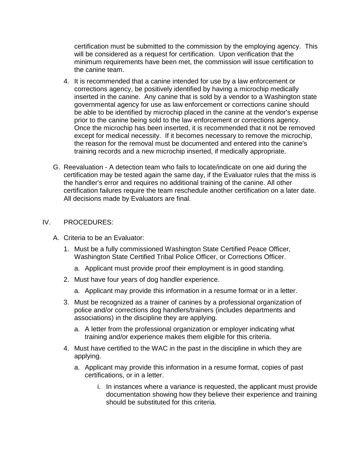certification must be submitted to the commission by the employing agency. This will be considered as a request for certification. Upon verification that the minimum requirements have been met, the commission will issue certification to the canine team.

- 4. It is recommended that a canine intended for use by a law enforcement or corrections agency, be positively identified by having a microchip medically inserted in the canine. Any canine that is sold by a vendor to a Washington state governmental agency for use as law enforcement or corrections canine should be able to be identified by microchip placed in the canine at the vendor's expense prior to the canine being sold to the law enforcement or corrections agency. Once the microchip has been inserted, it is recommended that it not be removed except for medical necessity. If it becomes necessary to remove the microchip, the reason for the removal must be documented and entered into the canine's training records and a new microchip inserted, if medically appropriate.
- G. Reevaluation A detection team who fails to locate/indicate on one aid during the certification may be tested again the same day, if the Evaluator rules that the miss is the handler's error and requires no additional training of the canine. All other certification failures require the team reschedule another certification on a later date. All decisions made by Evaluators are final.

#### IV. PROCEDURES:

- A. Criteria to be an Evaluator:
	- 1. Must be a fully commissioned Washington State Certified Peace Officer, Washington State Certified Tribal Police Officer, or Corrections Officer.
		- a. Applicant must provide proof their employment is in good standing.
	- 2. Must have four years of dog handler experience.
		- a. Applicant may provide this information in a resume format or in a letter.
	- 3. Must be recognized as a trainer of canines by a professional organization of police and/or corrections dog handlers/trainers (includes departments and associations) in the discipline they are applying.
		- a. A letter from the professional organization or employer indicating what training and/or experience makes them eligible for this criteria.
	- 4. Must have certified to the WAC in the past in the discipline in which they are applying.
		- a. Applicant may provide this information in a resume format, copies of past certifications, or in a letter.
			- i. In instances where a variance is requested, the applicant must provide documentation showing how they believe their experience and training should be substituted for this criteria.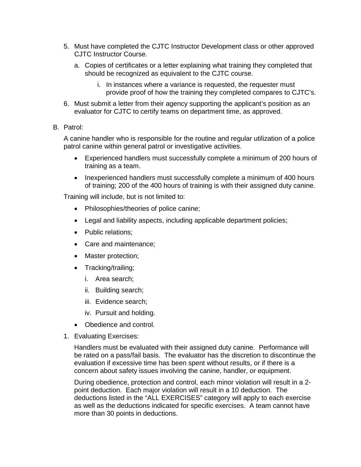- 5. Must have completed the CJTC Instructor Development class or other approved CJTC Instructor Course.
	- a. Copies of certificates or a letter explaining what training they completed that should be recognized as equivalent to the CJTC course.
		- i. In instances where a variance is requested, the requester must provide proof of how the training they completed compares to CJTC's.
- 6. Must submit a letter from their agency supporting the applicant's position as an evaluator for CJTC to certify teams on department time, as approved.

#### B. Patrol:

A canine handler who is responsible for the routine and regular utilization of a police patrol canine within general patrol or investigative activities.

- Experienced handlers must successfully complete a minimum of 200 hours of training as a team.
- Inexperienced handlers must successfully complete a minimum of 400 hours of training; 200 of the 400 hours of training is with their assigned duty canine.

Training will include, but is not limited to:

- Philosophies/theories of police canine;
- Legal and liability aspects, including applicable department policies;
- Public relations:
- Care and maintenance;
- Master protection;
- Tracking/trailing;
	- i. Area search;
	- ii. Building search;
	- iii. Evidence search;
	- iv. Pursuit and holding.
- Obedience and control.
- 1. Evaluating Exercises:

Handlers must be evaluated with their assigned duty canine. Performance will be rated on a pass/fail basis. The evaluator has the discretion to discontinue the evaluation if excessive time has been spent without results, or if there is a concern about safety issues involving the canine, handler, or equipment.

During obedience, protection and control, each minor violation will result in a 2 point deduction. Each major violation will result in a 10 deduction. The deductions listed in the "ALL EXERCISES" category will apply to each exercise as well as the deductions indicated for specific exercises. A team cannot have more than 30 points in deductions.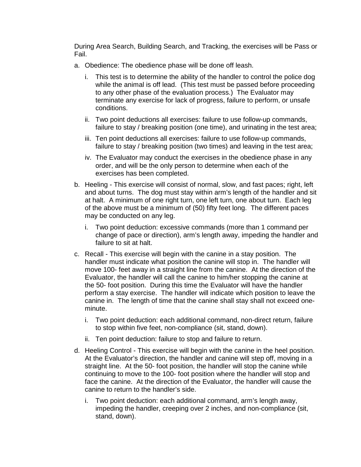During Area Search, Building Search, and Tracking, the exercises will be Pass or Fail.

- a. Obedience: The obedience phase will be done off leash.
	- i. This test is to determine the ability of the handler to control the police dog while the animal is off lead. (This test must be passed before proceeding to any other phase of the evaluation process.) The Evaluator may terminate any exercise for lack of progress, failure to perform, or unsafe conditions.
	- ii. Two point deductions all exercises: failure to use follow-up commands, failure to stay / breaking position (one time), and urinating in the test area;
	- iii. Ten point deductions all exercises: failure to use follow-up commands, failure to stay / breaking position (two times) and leaving in the test area;
	- iv. The Evaluator may conduct the exercises in the obedience phase in any order, and will be the only person to determine when each of the exercises has been completed.
- b. Heeling This exercise will consist of normal, slow, and fast paces; right, left and about turns. The dog must stay within arm's length of the handler and sit at halt. A minimum of one right turn, one left turn, one about turn. Each leg of the above must be a minimum of (50) fifty feet long. The different paces may be conducted on any leg.
	- i. Two point deduction: excessive commands (more than 1 command per change of pace or direction), arm's length away, impeding the handler and failure to sit at halt.
- c. Recall This exercise will begin with the canine in a stay position. The handler must indicate what position the canine will stop in. The handler will move 100- feet away in a straight line from the canine. At the direction of the Evaluator, the handler will call the canine to him/her stopping the canine at the 50- foot position. During this time the Evaluator will have the handler perform a stay exercise. The handler will indicate which position to leave the canine in. The length of time that the canine shall stay shall not exceed oneminute.
	- i. Two point deduction: each additional command, non-direct return, failure to stop within five feet, non-compliance (sit, stand, down).
	- ii. Ten point deduction: failure to stop and failure to return.
- d. Heeling Control This exercise will begin with the canine in the heel position. At the Evaluator's direction, the handler and canine will step off, moving in a straight line. At the 50- foot position, the handler will stop the canine while continuing to move to the 100- foot position where the handler will stop and face the canine. At the direction of the Evaluator, the handler will cause the canine to return to the handler's side.
	- i. Two point deduction: each additional command, arm's length away, impeding the handler, creeping over 2 inches, and non-compliance (sit, stand, down).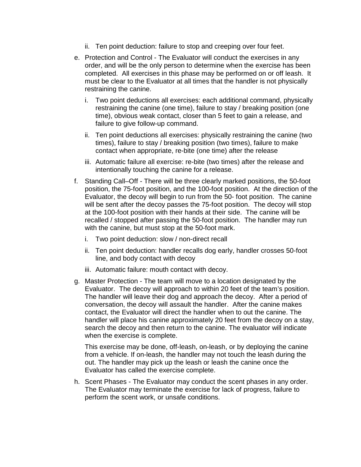- ii. Ten point deduction: failure to stop and creeping over four feet.
- e. Protection and Control The Evaluator will conduct the exercises in any order, and will be the only person to determine when the exercise has been completed. All exercises in this phase may be performed on or off leash. It must be clear to the Evaluator at all times that the handler is not physically restraining the canine.
	- i. Two point deductions all exercises: each additional command, physically restraining the canine (one time), failure to stay / breaking position (one time), obvious weak contact, closer than 5 feet to gain a release, and failure to give follow-up command.
	- ii. Ten point deductions all exercises: physically restraining the canine (two times), failure to stay / breaking position (two times), failure to make contact when appropriate, re-bite (one time) after the release
	- iii. Automatic failure all exercise: re-bite (two times) after the release and intentionally touching the canine for a release.
- f. Standing Call–Off There will be three clearly marked positions, the 50-foot position, the 75-foot position, and the 100-foot position. At the direction of the Evaluator, the decoy will begin to run from the 50- foot position. The canine will be sent after the decoy passes the 75-foot position. The decoy will stop at the 100-foot position with their hands at their side. The canine will be recalled / stopped after passing the 50-foot position. The handler may run with the canine, but must stop at the 50-foot mark.
	- i. Two point deduction: slow / non-direct recall
	- ii. Ten point deduction: handler recalls dog early, handler crosses 50-foot line, and body contact with decoy
	- iii. Automatic failure: mouth contact with decoy.
- g. Master Protection The team will move to a location designated by the Evaluator. The decoy will approach to within 20 feet of the team's position. The handler will leave their dog and approach the decoy. After a period of conversation, the decoy will assault the handler. After the canine makes contact, the Evaluator will direct the handler when to out the canine. The handler will place his canine approximately 20 feet from the decoy on a stay, search the decoy and then return to the canine. The evaluator will indicate when the exercise is complete.

This exercise may be done, off-leash, on-leash, or by deploying the canine from a vehicle. If on-leash, the handler may not touch the leash during the out. The handler may pick up the leash or leash the canine once the Evaluator has called the exercise complete.

h. Scent Phases - The Evaluator may conduct the scent phases in any order. The Evaluator may terminate the exercise for lack of progress, failure to perform the scent work, or unsafe conditions.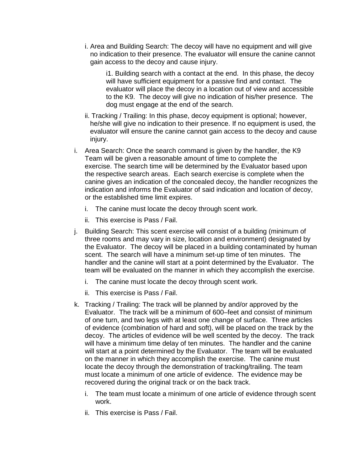i. Area and Building Search: The decoy will have no equipment and will give no indication to their presence. The evaluator will ensure the canine cannot gain access to the decoy and cause injury.

i1. Building search with a contact at the end. In this phase, the decoy will have sufficient equipment for a passive find and contact. The evaluator will place the decoy in a location out of view and accessible to the K9. The decoy will give no indication of his/her presence. The dog must engage at the end of the search.

- ii. Tracking / Trailing: In this phase, decoy equipment is optional; however, he/she will give no indication to their presence. If no equipment is used, the evaluator will ensure the canine cannot gain access to the decoy and cause injury.
- i. Area Search: Once the search command is given by the handler, the K9 Team will be given a reasonable amount of time to complete the exercise. The search time will be determined by the Evaluator based upon the respective search areas. Each search exercise is complete when the canine gives an indication of the concealed decoy, the handler recognizes the indication and informs the Evaluator of said indication and location of decoy, or the established time limit expires.
	- i. The canine must locate the decoy through scent work.
	- ii. This exercise is Pass / Fail.
- j. Building Search: This scent exercise will consist of a building (minimum of three rooms and may vary in size, location and environment) designated by the Evaluator. The decoy will be placed in a building contaminated by human scent. The search will have a minimum set-up time of ten minutes. The handler and the canine will start at a point determined by the Evaluator. The team will be evaluated on the manner in which they accomplish the exercise.
	- i. The canine must locate the decoy through scent work.
	- ii. This exercise is Pass / Fail.
- k. Tracking / Trailing: The track will be planned by and/or approved by the Evaluator. The track will be a minimum of 600–feet and consist of minimum of one turn, and two legs with at least one change of surface. Three articles of evidence (combination of hard and soft), will be placed on the track by the decoy. The articles of evidence will be well scented by the decoy. The track will have a minimum time delay of ten minutes. The handler and the canine will start at a point determined by the Evaluator. The team will be evaluated on the manner in which they accomplish the exercise. The canine must locate the decoy through the demonstration of tracking/trailing. The team must locate a minimum of one article of evidence. The evidence may be recovered during the original track or on the back track.
	- i. The team must locate a minimum of one article of evidence through scent work.
	- ii. This exercise is Pass / Fail.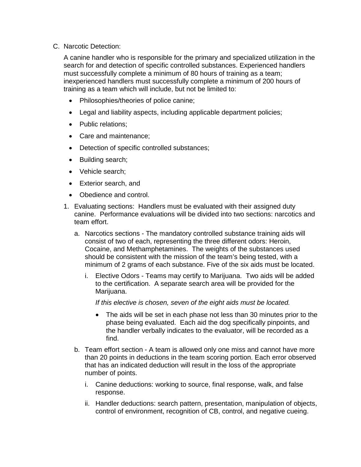C. Narcotic Detection:

A canine handler who is responsible for the primary and specialized utilization in the search for and detection of specific controlled substances. Experienced handlers must successfully complete a minimum of 80 hours of training as a team; inexperienced handlers must successfully complete a minimum of 200 hours of training as a team which will include, but not be limited to:

- Philosophies/theories of police canine;
- Legal and liability aspects, including applicable department policies;
- Public relations:
- Care and maintenance;
- Detection of specific controlled substances;
- Building search;
- Vehicle search;
- Exterior search, and
- Obedience and control.
- 1. Evaluating sections: Handlers must be evaluated with their assigned duty canine. Performance evaluations will be divided into two sections: narcotics and team effort.
	- a. Narcotics sections The mandatory controlled substance training aids will consist of two of each, representing the three different odors: Heroin, Cocaine, and Methamphetamines. The weights of the substances used should be consistent with the mission of the team's being tested, with a minimum of 2 grams of each substance. Five of the six aids must be located.
		- i. Elective Odors Teams may certify to Marijuana. Two aids will be added to the certification. A separate search area will be provided for the Marijuana.

*If this elective is chosen, seven of the eight aids must be located.*

- The aids will be set in each phase not less than 30 minutes prior to the phase being evaluated. Each aid the dog specifically pinpoints, and the handler verbally indicates to the evaluator, will be recorded as a find.
- b. Team effort section A team is allowed only one miss and cannot have more than 20 points in deductions in the team scoring portion. Each error observed that has an indicated deduction will result in the loss of the appropriate number of points.
	- i. Canine deductions: working to source, final response, walk, and false response.
	- ii. Handler deductions: search pattern, presentation, manipulation of objects, control of environment, recognition of CB, control, and negative cueing.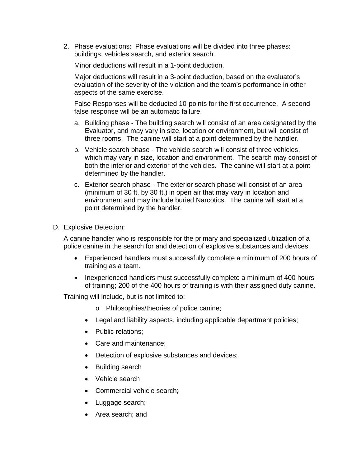2. Phase evaluations: Phase evaluations will be divided into three phases: buildings, vehicles search, and exterior search.

Minor deductions will result in a 1-point deduction.

Major deductions will result in a 3-point deduction, based on the evaluator's evaluation of the severity of the violation and the team's performance in other aspects of the same exercise.

False Responses will be deducted 10-points for the first occurrence. A second false response will be an automatic failure.

- a. Building phase The building search will consist of an area designated by the Evaluator, and may vary in size, location or environment, but will consist of three rooms. The canine will start at a point determined by the handler.
- b. Vehicle search phase The vehicle search will consist of three vehicles, which may vary in size, location and environment. The search may consist of both the interior and exterior of the vehicles. The canine will start at a point determined by the handler.
- c. Exterior search phase The exterior search phase will consist of an area (minimum of 30 ft. by 30 ft.) in open air that may vary in location and environment and may include buried Narcotics. The canine will start at a point determined by the handler.
- D. Explosive Detection:

A canine handler who is responsible for the primary and specialized utilization of a police canine in the search for and detection of explosive substances and devices.

- Experienced handlers must successfully complete a minimum of 200 hours of training as a team.
- Inexperienced handlers must successfully complete a minimum of 400 hours of training; 200 of the 400 hours of training is with their assigned duty canine.

Training will include, but is not limited to:

- o Philosophies/theories of police canine;
- Legal and liability aspects, including applicable department policies;
- Public relations:
- Care and maintenance;
- Detection of explosive substances and devices;
- Building search
- Vehicle search
- Commercial vehicle search;
- Luggage search;
- Area search; and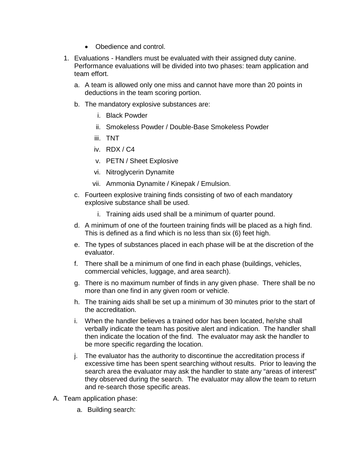- Obedience and control.
- 1. Evaluations Handlers must be evaluated with their assigned duty canine. Performance evaluations will be divided into two phases: team application and team effort.
	- a. A team is allowed only one miss and cannot have more than 20 points in deductions in the team scoring portion.
	- b. The mandatory explosive substances are:
		- i. Black Powder
		- ii. Smokeless Powder / Double-Base Smokeless Powder
		- iii. TNT
		- iv. RDX / C4
		- v. PETN / Sheet Explosive
		- vi. Nitroglycerin Dynamite
		- vii. Ammonia Dynamite / Kinepak / Emulsion.
	- c. Fourteen explosive training finds consisting of two of each mandatory explosive substance shall be used.
		- i. Training aids used shall be a minimum of quarter pound.
	- d. A minimum of one of the fourteen training finds will be placed as a high find. This is defined as a find which is no less than six (6) feet high.
	- e. The types of substances placed in each phase will be at the discretion of the evaluator.
	- f. There shall be a minimum of one find in each phase (buildings, vehicles, commercial vehicles, luggage, and area search).
	- g. There is no maximum number of finds in any given phase. There shall be no more than one find in any given room or vehicle.
	- h. The training aids shall be set up a minimum of 30 minutes prior to the start of the accreditation.
	- i. When the handler believes a trained odor has been located, he/she shall verbally indicate the team has positive alert and indication. The handler shall then indicate the location of the find. The evaluator may ask the handler to be more specific regarding the location.
	- j. The evaluator has the authority to discontinue the accreditation process if excessive time has been spent searching without results. Prior to leaving the search area the evaluator may ask the handler to state any "areas of interest" they observed during the search. The evaluator may allow the team to return and re-search those specific areas.
- A. Team application phase:
	- a. Building search: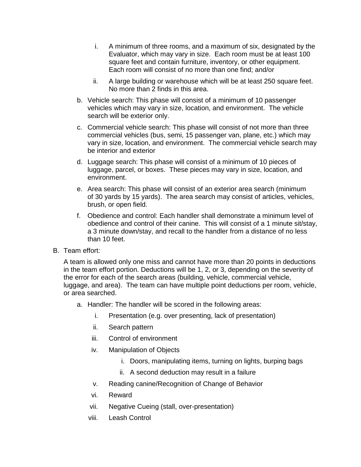- i. A minimum of three rooms, and a maximum of six, designated by the Evaluator, which may vary in size. Each room must be at least 100 square feet and contain furniture, inventory, or other equipment. Each room will consist of no more than one find; and/or
- ii. A large building or warehouse which will be at least 250 square feet. No more than 2 finds in this area.
- b. Vehicle search: This phase will consist of a minimum of 10 passenger vehicles which may vary in size, location, and environment. The vehicle search will be exterior only.
- c. Commercial vehicle search: This phase will consist of not more than three commercial vehicles (bus, semi, 15 passenger van, plane, etc.) which may vary in size, location, and environment. The commercial vehicle search may be interior and exterior
- d. Luggage search: This phase will consist of a minimum of 10 pieces of luggage, parcel, or boxes. These pieces may vary in size, location, and environment.
- e. Area search: This phase will consist of an exterior area search (minimum of 30 yards by 15 yards). The area search may consist of articles, vehicles, brush, or open field.
- f. Obedience and control: Each handler shall demonstrate a minimum level of obedience and control of their canine. This will consist of a 1 minute sit/stay, a 3 minute down/stay, and recall to the handler from a distance of no less than 10 feet.
- B. Team effort:

A team is allowed only one miss and cannot have more than 20 points in deductions in the team effort portion. Deductions will be 1, 2, or 3, depending on the severity of the error for each of the search areas (building, vehicle, commercial vehicle, luggage, and area). The team can have multiple point deductions per room, vehicle, or area searched.

- a. Handler: The handler will be scored in the following areas:
	- i. Presentation (e.g. over presenting, lack of presentation)
	- ii. Search pattern
	- iii. Control of environment
	- iv. Manipulation of Objects
		- i. Doors, manipulating items, turning on lights, burping bags
		- ii. A second deduction may result in a failure
	- v. Reading canine/Recognition of Change of Behavior
	- vi. Reward
	- vii. Negative Cueing (stall, over-presentation)
	- viii. Leash Control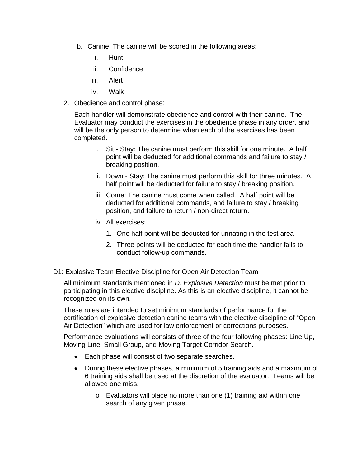- b. Canine: The canine will be scored in the following areas:
	- i. Hunt
	- ii. Confidence
	- iii. Alert
	- iv. Walk
- 2. Obedience and control phase:

Each handler will demonstrate obedience and control with their canine. The Evaluator may conduct the exercises in the obedience phase in any order, and will be the only person to determine when each of the exercises has been completed.

- i. Sit Stay: The canine must perform this skill for one minute. A half point will be deducted for additional commands and failure to stay / breaking position.
- ii. Down Stay: The canine must perform this skill for three minutes. A half point will be deducted for failure to stay / breaking position.
- iii. Come: The canine must come when called. A half point will be deducted for additional commands, and failure to stay / breaking position, and failure to return / non-direct return.
- iv. All exercises:
	- 1. One half point will be deducted for urinating in the test area
	- 2. Three points will be deducted for each time the handler fails to conduct follow-up commands.
- D1: Explosive Team Elective Discipline for Open Air Detection Team

All minimum standards mentioned in *D. Explosive Detection* must be met prior to participating in this elective discipline. As this is an elective discipline, it cannot be recognized on its own.

These rules are intended to set minimum standards of performance for the certification of explosive detection canine teams with the elective discipline of "Open Air Detection" which are used for law enforcement or corrections purposes.

Performance evaluations will consists of three of the four following phases: Line Up, Moving Line, Small Group, and Moving Target Corridor Search.

- Each phase will consist of two separate searches.
- During these elective phases, a minimum of 5 training aids and a maximum of 6 training aids shall be used at the discretion of the evaluator. Teams will be allowed one miss.
	- o Evaluators will place no more than one (1) training aid within one search of any given phase.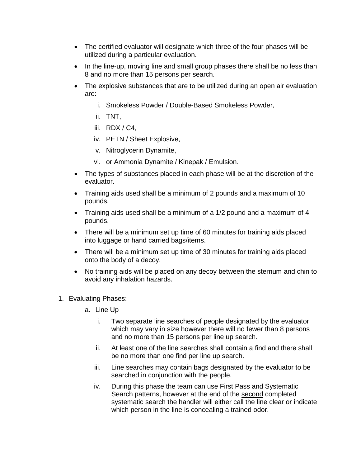- The certified evaluator will designate which three of the four phases will be utilized during a particular evaluation.
- In the line-up, moving line and small group phases there shall be no less than 8 and no more than 15 persons per search.
- The explosive substances that are to be utilized during an open air evaluation are:
	- i. Smokeless Powder / Double-Based Smokeless Powder,
	- ii. TNT,
	- iii. RDX / C4,
	- iv. PETN / Sheet Explosive,
	- v. Nitroglycerin Dynamite,
	- vi. or Ammonia Dynamite / Kinepak / Emulsion.
- The types of substances placed in each phase will be at the discretion of the evaluator.
- Training aids used shall be a minimum of 2 pounds and a maximum of 10 pounds.
- Training aids used shall be a minimum of a 1/2 pound and a maximum of 4 pounds.
- There will be a minimum set up time of 60 minutes for training aids placed into luggage or hand carried bags/items.
- There will be a minimum set up time of 30 minutes for training aids placed onto the body of a decoy.
- No training aids will be placed on any decoy between the sternum and chin to avoid any inhalation hazards.
- 1. Evaluating Phases:
	- a. Line Up
		- i. Two separate line searches of people designated by the evaluator which may vary in size however there will no fewer than 8 persons and no more than 15 persons per line up search.
		- ii. At least one of the line searches shall contain a find and there shall be no more than one find per line up search.
		- iii. Line searches may contain bags designated by the evaluator to be searched in conjunction with the people.
		- iv. During this phase the team can use First Pass and Systematic Search patterns, however at the end of the second completed systematic search the handler will either call the line clear or indicate which person in the line is concealing a trained odor.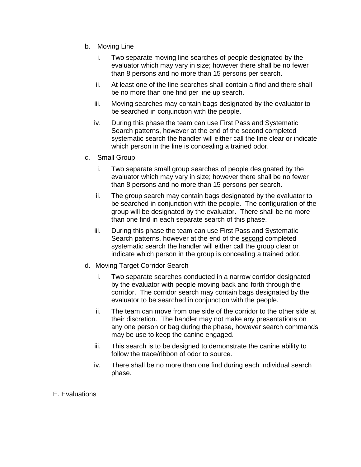- b. Moving Line
	- i. Two separate moving line searches of people designated by the evaluator which may vary in size; however there shall be no fewer than 8 persons and no more than 15 persons per search.
	- ii. At least one of the line searches shall contain a find and there shall be no more than one find per line up search.
	- iii. Moving searches may contain bags designated by the evaluator to be searched in conjunction with the people.
	- iv. During this phase the team can use First Pass and Systematic Search patterns, however at the end of the second completed systematic search the handler will either call the line clear or indicate which person in the line is concealing a trained odor.
- c. Small Group
	- i. Two separate small group searches of people designated by the evaluator which may vary in size; however there shall be no fewer than 8 persons and no more than 15 persons per search.
	- ii. The group search may contain bags designated by the evaluator to be searched in conjunction with the people. The configuration of the group will be designated by the evaluator. There shall be no more than one find in each separate search of this phase.
	- iii. During this phase the team can use First Pass and Systematic Search patterns, however at the end of the second completed systematic search the handler will either call the group clear or indicate which person in the group is concealing a trained odor.
- d. Moving Target Corridor Search
	- i. Two separate searches conducted in a narrow corridor designated by the evaluator with people moving back and forth through the corridor. The corridor search may contain bags designated by the evaluator to be searched in conjunction with the people.
	- ii. The team can move from one side of the corridor to the other side at their discretion. The handler may not make any presentations on any one person or bag during the phase, however search commands may be use to keep the canine engaged.
	- iii. This search is to be designed to demonstrate the canine ability to follow the trace/ribbon of odor to source.
	- iv. There shall be no more than one find during each individual search phase.
- E. Evaluations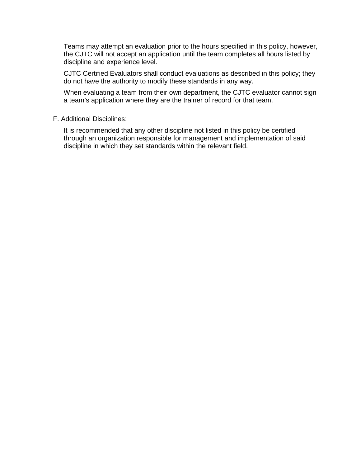Teams may attempt an evaluation prior to the hours specified in this policy, however, the CJTC will not accept an application until the team completes all hours listed by discipline and experience level.

CJTC Certified Evaluators shall conduct evaluations as described in this policy; they do not have the authority to modify these standards in any way.

When evaluating a team from their own department, the CJTC evaluator cannot sign a team's application where they are the trainer of record for that team.

#### F. Additional Disciplines:

It is recommended that any other discipline not listed in this policy be certified through an organization responsible for management and implementation of said discipline in which they set standards within the relevant field.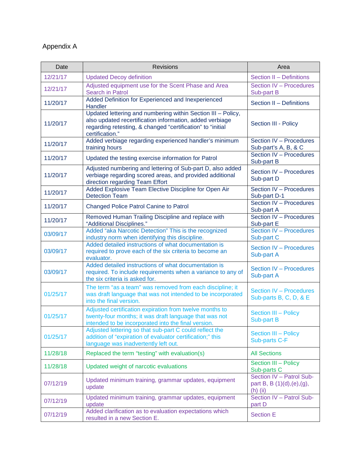# Appendix A

| Date     | <b>Revisions</b>                                                                                                                                                                                          | Area                                                                |
|----------|-----------------------------------------------------------------------------------------------------------------------------------------------------------------------------------------------------------|---------------------------------------------------------------------|
| 12/21/17 | <b>Updated Decoy definition</b>                                                                                                                                                                           | Section II - Definitions                                            |
| 12/21/17 | Adjusted equipment use for the Scent Phase and Area<br><b>Search in Patrol</b>                                                                                                                            | Section IV - Procedures<br>Sub-part B                               |
| 11/20/17 | Added Definition for Experienced and Inexperienced<br>Handler                                                                                                                                             | Section II - Definitions                                            |
| 11/20/17 | Updated lettering and numbering within Section III - Policy,<br>also updated recertification information, added verbiage<br>regarding retesting, & changed "certification" to "initial<br>certification." | Section III - Policy                                                |
| 11/20/17 | Added verbiage regarding experienced handler's minimum<br>training hours                                                                                                                                  | Section IV - Procedures<br>Sub-part's A, B, & C                     |
| 11/20/17 | Updated the testing exercise information for Patrol                                                                                                                                                       | Section IV - Procedures<br>Sub-part B                               |
| 11/20/17 | Adjusted numbering and lettering of Sub-part D, also added<br>verbiage regarding scored areas, and provided additional<br>direction regarding Team Effort                                                 | Section IV - Procedures<br>Sub-part D                               |
| 11/20/17 | Added Explosive Team Elective Discipline for Open Air<br><b>Detection Team</b>                                                                                                                            | Section IV - Procedures<br>Sub-part D-1                             |
| 11/20/17 | <b>Changed Police Patrol Canine to Patrol</b>                                                                                                                                                             | Section IV - Procedures<br>Sub-part A                               |
| 11/20/17 | Removed Human Trailing Discipline and replace with<br>"Additional Disciplines."                                                                                                                           | Section IV - Procedures<br>Sub-part E                               |
| 03/09/17 | Added "aka Narcotic Detection" This is the recognized<br>industry norm when identifying this discipline.                                                                                                  | Section IV - Procedures<br>Sub-part C                               |
| 03/09/17 | Added detailed instructions of what documentation is<br>required to prove each of the six criteria to become an<br>evaluator.                                                                             | Section IV - Procedures<br>Sub-part A                               |
| 03/09/17 | Added detailed instructions of what documentation is<br>required. To include requirements when a variance to any of<br>the six criteria is asked for.                                                     | Section IV - Procedures<br>Sub-part A                               |
| 01/25/17 | The term "as a team" was removed from each discipline; it<br>was draft language that was not intended to be incorporated<br>into the final version.                                                       | <b>Section IV - Procedures</b><br>Sub-parts B, C, D, & E            |
| 01/25/17 | Adjusted certification expiration from twelve months to<br>twenty-four months; it was draft language that was not<br>intended to be incorporated into the final version.                                  | Section III - Policy<br><b>Sub-part B</b>                           |
| 01/25/17 | Adjusted lettering so that sub-part C could reflect the<br>addition of "expiration of evaluator certification;" this<br>language was inadvertently left out.                                              | Section III - Policy<br><b>Sub-parts C-F</b>                        |
| 11/28/18 | Replaced the term "testing" with evaluation(s)                                                                                                                                                            | <b>All Sections</b>                                                 |
| 11/28/18 | Updated weight of narcotic evaluations                                                                                                                                                                    | Section III - Policy<br>Sub-parts C                                 |
| 07/12/19 | Updated minimum training, grammar updates, equipment<br>update                                                                                                                                            | Section IV - Patrol Sub-<br>part B, B (1)(d),(e),(g),<br>$(h)$ (ii) |
| 07/12/19 | Updated minimum training, grammar updates, equipment<br>update                                                                                                                                            | Section IV - Patrol Sub-<br>part D                                  |
| 07/12/19 | Added clarification as to evaluation expectations which<br>resulted in a new Section E.                                                                                                                   | <b>Section E</b>                                                    |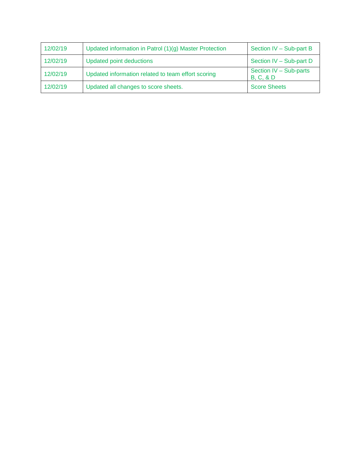| 12/02/19 | Updated information in Patrol (1)(g) Master Protection | Section IV - Sub-part B                        |
|----------|--------------------------------------------------------|------------------------------------------------|
| 12/02/19 | Updated point deductions                               | Section IV - Sub-part D                        |
| 12/02/19 | Updated information related to team effort scoring     | Section IV - Sub-parts<br><b>B, C, &amp; D</b> |
| 12/02/19 | Updated all changes to score sheets.                   | <b>Score Sheets</b>                            |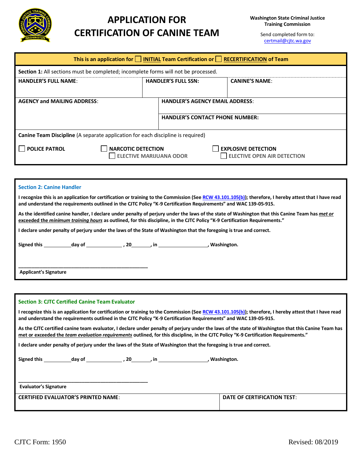

# **APPLICATION FOR CERTIFICATION OF CANINE TEAM**

Send completed form to: [certmail@cjtc.wa.gov](mailto:certmail@cjtc.wa.gov)

| This is an application for $\Box$ INITIAL Team Certification or $\Box$ RECERTIFICATION of Team |  |                                                     |                                                                  |
|------------------------------------------------------------------------------------------------|--|-----------------------------------------------------|------------------------------------------------------------------|
| Section 1: All sections must be completed; incomplete forms will not be processed.             |  |                                                     |                                                                  |
| <b>HANDLER'S FULL NAME:</b>                                                                    |  | <b>HANDLER'S FULL SSN:</b><br><b>CANINE'S NAME:</b> |                                                                  |
| <b>AGENCY and MAILING ADDRESS:</b>                                                             |  | <b>HANDLER'S AGENCY EMAIL ADDRESS:</b>              |                                                                  |
|                                                                                                |  | <b>HANDLER'S CONTACT PHONE NUMBER:</b>              |                                                                  |
| <b>Canine Team Discipline</b> (A separate application for each discipline is required)         |  |                                                     |                                                                  |
| <b>POLICE PATROL</b><br><b>NARCOTIC DETECTION</b>                                              |  | <b>ELECTIVE MARIJUANA ODOR</b>                      | <b>EXPLOSIVE DETECTION</b><br><b>ELECTIVE OPEN AIR DETECTION</b> |

| <b>Section 2: Canine Handler</b>                                                                                                                                                                                                                                              |  |  |  |  |
|-------------------------------------------------------------------------------------------------------------------------------------------------------------------------------------------------------------------------------------------------------------------------------|--|--|--|--|
| I recognize this is an application for certification or training to the Commission (See RCW 43.101.105(b)); therefore, I hereby attest that I have read<br>and understand the requirements outlined in the CJTC Policy "K-9 Certification Requirements" and WAC 139-05-915.   |  |  |  |  |
| As the identified canine handler, I declare under penalty of perjury under the laws of the state of Washington that this Canine Team has met or<br>exceeded the minimum training hours as outlined, for this discipline, in the CJTC Policy "K-9 Certification Requirements." |  |  |  |  |
| I declare under penalty of perjury under the laws of the State of Washington that the foregoing is true and correct.                                                                                                                                                          |  |  |  |  |
| Signed this day of the set of the set of the set of the set of the set of the set of the set of the set of the s                                                                                                                                                              |  |  |  |  |
|                                                                                                                                                                                                                                                                               |  |  |  |  |
| <b>Applicant's Signature</b>                                                                                                                                                                                                                                                  |  |  |  |  |

| <b>Section 3: CJTC Certified Canine Team Evaluator</b>                                                                                                                                                                                                                                      |                             |  |  |
|---------------------------------------------------------------------------------------------------------------------------------------------------------------------------------------------------------------------------------------------------------------------------------------------|-----------------------------|--|--|
| I recognize this is an application for certification or training to the Commission (See RCW 43.101.105(b)); therefore, I hereby attest that I have read<br>and understand the requirements outlined in the CJTC Policy "K-9 Certification Requirements" and WAC 139-05-915.                 |                             |  |  |
| As the CJTC certified canine team evaluator, I declare under penalty of perjury under the laws of the state of Washington that this Canine Team has<br>met or exceeded the team evaluation requirements outlined, for this discipline, in the CJTC Policy "K-9 Certification Requirements." |                             |  |  |
| I declare under penalty of perjury under the laws of the State of Washington that the foregoing is true and correct.                                                                                                                                                                        |                             |  |  |
|                                                                                                                                                                                                                                                                                             |                             |  |  |
| <b>Evaluator's Signature</b>                                                                                                                                                                                                                                                                |                             |  |  |
| <b>CERTIFIED EVALUATOR'S PRINTED NAME:</b>                                                                                                                                                                                                                                                  | DATE OF CERTIFICATION TEST: |  |  |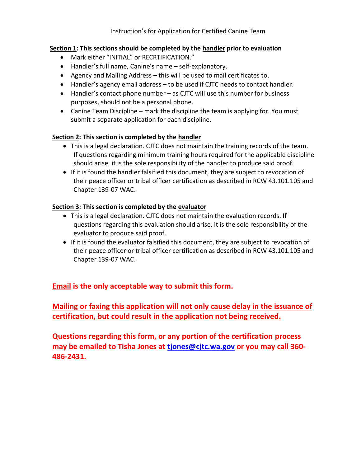### **Section 1: This sections should be completed by the handler prior to evaluation**

- Mark either "INITIAL" or RECRTIFICATION."
- Handler's full name, Canine's name self-explanatory.
- Agency and Mailing Address this will be used to mail certificates to.
- Handler's agency email address to be used if CJTC needs to contact handler.
- Handler's contact phone number as CJTC will use this number for business purposes, should not be a personal phone.
- Canine Team Discipline mark the discipline the team is applying for. You must submit a separate application for each discipline.

### **Section 2: This section is completed by the handler**

- This is a legal declaration. CJTC does not maintain the training records of the team. If questions regarding minimum training hours required for the applicable discipline should arise, it is the sole responsibility of the handler to produce said proof.
- If it is found the handler falsified this document, they are subject to revocation of their peace officer or tribal officer certification as described in RCW 43.101.105 and Chapter 139-07 WAC.

### **Section 3: This section is completed by the evaluator**

- This is a legal declaration. CJTC does not maintain the evaluation records. If questions regarding this evaluation should arise, it is the sole responsibility of the evaluator to produce said proof.
- If it is found the evaluator falsified this document, they are subject to revocation of their peace officer or tribal officer certification as described in RCW 43.101.105 and Chapter 139-07 WAC.

## **Email is the only acceptable way to submit this form.**

**Mailing or faxing this application will not only cause delay in the issuance of certification, but could result in the application not being received.**

**Questions regarding this form, or any portion of the certification process may be emailed to Tisha Jones at [tjones@cjtc.wa.gov](mailto:tjones@cjtc.wa.gov) or you may call 360- 486-2431.**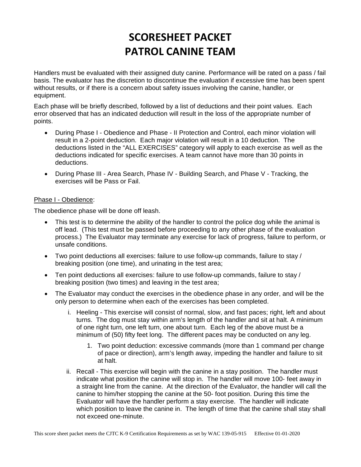Handlers must be evaluated with their assigned duty canine. Performance will be rated on a pass / fail basis. The evaluator has the discretion to discontinue the evaluation if excessive time has been spent without results, or if there is a concern about safety issues involving the canine, handler, or equipment.

Each phase will be briefly described, followed by a list of deductions and their point values. Each error observed that has an indicated deduction will result in the loss of the appropriate number of points.

- During Phase I Obedience and Phase II Protection and Control, each minor violation will result in a 2-point deduction. Each major violation will result in a 10 deduction. The deductions listed in the "ALL EXERCISES" category will apply to each exercise as well as the deductions indicated for specific exercises. A team cannot have more than 30 points in deductions.
- During Phase III Area Search, Phase IV Building Search, and Phase V Tracking, the exercises will be Pass or Fail.

#### Phase I - Obedience:

The obedience phase will be done off leash.

- This test is to determine the ability of the handler to control the police dog while the animal is off lead. (This test must be passed before proceeding to any other phase of the evaluation process.) The Evaluator may terminate any exercise for lack of progress, failure to perform, or unsafe conditions.
- Two point deductions all exercises: failure to use follow-up commands, failure to stay / breaking position (one time), and urinating in the test area;
- Ten point deductions all exercises: failure to use follow-up commands, failure to stay / breaking position (two times) and leaving in the test area;
- The Evaluator may conduct the exercises in the obedience phase in any order, and will be the only person to determine when each of the exercises has been completed.
	- i. Heeling This exercise will consist of normal, slow, and fast paces; right, left and about turns. The dog must stay within arm's length of the handler and sit at halt. A minimum of one right turn, one left turn, one about turn. Each leg of the above must be a minimum of (50) fifty feet long. The different paces may be conducted on any leg.
		- 1. Two point deduction: excessive commands (more than 1 command per change of pace or direction), arm's length away, impeding the handler and failure to sit at halt.
	- ii. Recall This exercise will begin with the canine in a stay position. The handler must indicate what position the canine will stop in. The handler will move 100- feet away in a straight line from the canine. At the direction of the Evaluator, the handler will call the canine to him/her stopping the canine at the 50- foot position. During this time the Evaluator will have the handler perform a stay exercise. The handler will indicate which position to leave the canine in. The length of time that the canine shall stay shall not exceed one-minute.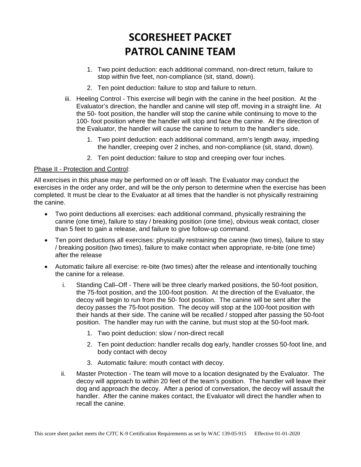- 1. Two point deduction: each additional command, non-direct return, failure to stop within five feet, non-compliance (sit, stand, down).
- 2. Ten point deduction: failure to stop and failure to return.
- iii. Heeling Control This exercise will begin with the canine in the heel position. At the Evaluator's direction, the handler and canine will step off, moving in a straight line. At the 50- foot position, the handler will stop the canine while continuing to move to the 100- foot position where the handler will stop and face the canine. At the direction of the Evaluator, the handler will cause the canine to return to the handler's side.
	- 1. Two point deduction: each additional command, arm's length away, impeding the handler, creeping over 2 inches, and non-compliance (sit, stand, down).
	- 2. Ten point deduction: failure to stop and creeping over four inches.

#### Phase II - Protection and Control:

All exercises in this phase may be performed on or off leash. The Evaluator may conduct the exercises in the order any order, and will be the only person to determine when the exercise has been completed. It must be clear to the Evaluator at all times that the handler is not physically restraining the canine.

- Two point deductions all exercises: each additional command, physically restraining the canine (one time), failure to stay / breaking position (one time), obvious weak contact, closer than 5 feet to gain a release, and failure to give follow-up command.
- Ten point deductions all exercises: physically restraining the canine (two times), failure to stay / breaking position (two times), failure to make contact when appropriate, re-bite (one time) after the release
- Automatic failure all exercise: re-bite (two times) after the release and intentionally touching the canine for a release.
	- i. Standing Call–Off There will be three clearly marked positions, the 50-foot position, the 75-foot position, and the 100-foot position. At the direction of the Evaluator, the decoy will begin to run from the 50- foot position. The canine will be sent after the decoy passes the 75-foot position. The decoy will stop at the 100-foot position with their hands at their side. The canine will be recalled / stopped after passing the 50-foot position. The handler may run with the canine, but must stop at the 50-foot mark.
		- 1. Two point deduction: slow / non-direct recall
		- 2. Ten point deduction: handler recalls dog early, handler crosses 50-foot line, and body contact with decoy
		- 3. Automatic failure: mouth contact with decoy.
	- ii. Master Protection The team will move to a location designated by the Evaluator. The decoy will approach to within 20 feet of the team's position. The handler will leave their dog and approach the decoy. After a period of conversation, the decoy will assault the handler. After the canine makes contact, the Evaluator will direct the handler when to recall the canine.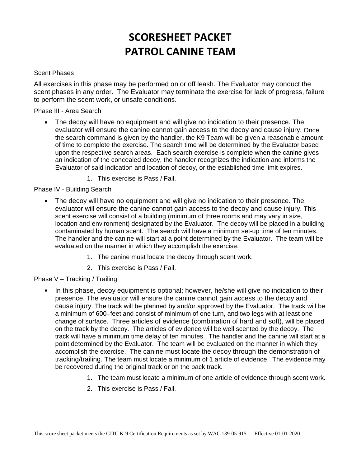#### Scent Phases

All exercises in this phase may be performed on or off leash. The Evaluator may conduct the scent phases in any order. The Evaluator may terminate the exercise for lack of progress, failure to perform the scent work, or unsafe conditions.

Phase III - Area Search

- The decoy will have no equipment and will give no indication to their presence. The evaluator will ensure the canine cannot gain access to the decoy and cause injury. Once the search command is given by the handler, the K9 Team will be given a reasonable amount of time to complete the exercise. The search time will be determined by the Evaluator based upon the respective search areas. Each search exercise is complete when the canine gives an indication of the concealed decoy, the handler recognizes the indication and informs the Evaluator of said indication and location of decoy, or the established time limit expires.
	- 1. This exercise is Pass / Fail.

Phase IV - Building Search

- The decoy will have no equipment and will give no indication to their presence. The evaluator will ensure the canine cannot gain access to the decoy and cause injury. This scent exercise will consist of a building (minimum of three rooms and may vary in size, location and environment) designated by the Evaluator. The decoy will be placed in a building contaminated by human scent. The search will have a minimum set-up time of ten minutes. The handler and the canine will start at a point determined by the Evaluator. The team will be evaluated on the manner in which they accomplish the exercise.
	- 1. The canine must locate the decoy through scent work.
	- 2. This exercise is Pass / Fail.

#### Phase V – Tracking / Trailing

- In this phase, decoy equipment is optional; however, he/she will give no indication to their presence. The evaluator will ensure the canine cannot gain access to the decoy and cause injury. The track will be planned by and/or approved by the Evaluator. The track will be a minimum of 600–feet and consist of minimum of one turn, and two legs with at least one change of surface. Three articles of evidence (combination of hard and soft), will be placed on the track by the decoy. The articles of evidence will be well scented by the decoy. The track will have a minimum time delay of ten minutes. The handler and the canine will start at a point determined by the Evaluator. The team will be evaluated on the manner in which they accomplish the exercise. The canine must locate the decoy through the demonstration of tracking/trailing. The team must locate a minimum of 1 article of evidence. The evidence may be recovered during the original track or on the back track.
	- 1. The team must locate a minimum of one article of evidence through scent work.
	- 2. This exercise is Pass / Fail.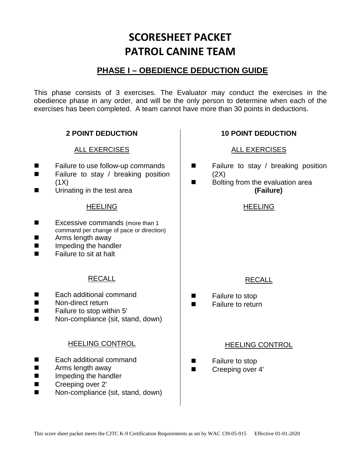# **PHASE I – OBEDIENCE DEDUCTION GUIDE**

This phase consists of 3 exercises. The Evaluator may conduct the exercises in the obedience phase in any order, and will be the only person to determine when each of the exercises has been completed. A team cannot have more than 30 points in deductions.

## **2 POINT DEDUCTION**

### ALL EXERCISES

- Failure to use follow-up commands
- **EXECUTE:** Failure to stay / breaking position  $(1X)$
- Urinating in the test area

### HEELING

- Excessive commands (more than 1 command per change of pace or direction)
- **Arms length away**
- **If** Impeding the handler
- Failure to sit at halt

### RECALL

- Each additional command
- Non-direct return
- Failure to stop within 5'
- Non-compliance (sit, stand, down)

### HEELING CONTROL

- Each additional command
- **E** Arms length away
- **Impeding the handler**
- Creeping over 2'
- Non-compliance (sit, stand, down)

### **10 POINT DEDUCTION**

### ALL EXERCISES

- Failure to stay / breaking position (2X)
- Bolting from the evaluation area **(Failure)**

### HEELING

### RECALL

- **Example 5** Failure to stop
- Failure to return

### HEELING CONTROL

- **Example 5** Failure to stop
- Creeping over 4'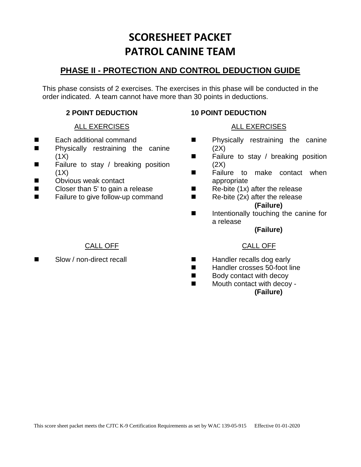# **PHASE II - PROTECTION AND CONTROL DEDUCTION GUIDE**

This phase consists of 2 exercises. The exercises in this phase will be conducted in the order indicated. A team cannot have more than 30 points in deductions.

### **2 POINT DEDUCTION**

### ALL EXERCISES

- Each additional command
- **Physically restraining the canine**  $(1X)$
- Failure to stay / breaking position  $(1X)$
- **Net Solutions** Obvious weak contact
- Closer than 5' to gain a release
- Failure to give follow-up command

### **10 POINT DEDUCTION**

### ALL EXERCISES

- **Physically restraining the canine**  $(2X)$
- Failure to stay / breaking position  $(2X)$
- **E** Failure to make contact when appropriate
- $\blacksquare$  Re-bite (1x) after the release
- $\blacksquare$  Re-bite (2x) after the release **(Failure)**
- Intentionally touching the canine for a release

#### **(Failure)**

### CALL OFF

- **Handler recalls dog early**
- Handler crosses 50-foot line
- Body contact with decoy
- Mouth contact with decoy -**(Failure)**

### CALL OFF

■ Slow / non-direct recall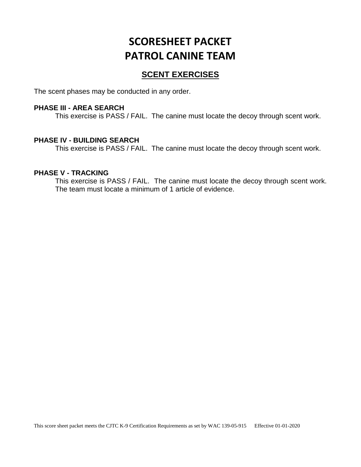## **SCENT EXERCISES**

The scent phases may be conducted in any order.

#### **PHASE III - AREA SEARCH**

This exercise is PASS / FAIL. The canine must locate the decoy through scent work.

#### **PHASE IV - BUILDING SEARCH**

This exercise is PASS / FAIL. The canine must locate the decoy through scent work.

#### **PHASE V - TRACKING**

This exercise is PASS / FAIL. The canine must locate the decoy through scent work. The team must locate a minimum of 1 article of evidence.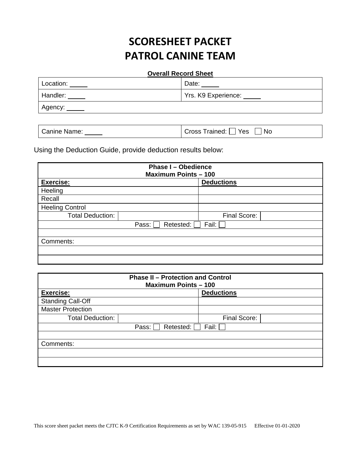#### **Overall Record Sheet**

| Location: | Date:               |
|-----------|---------------------|
| Handler:  | Yrs. K9 Experience: |
| Agency:   |                     |

| Canine Name: | Cross Trained: □ Yes □ No |
|--------------|---------------------------|
|--------------|---------------------------|

Using the Deduction Guide, provide deduction results below:

| <b>Phase I - Obedience</b><br><b>Maximum Points - 100</b> |                   |  |  |  |
|-----------------------------------------------------------|-------------------|--|--|--|
| Exercise:                                                 | <b>Deductions</b> |  |  |  |
| Heeling                                                   |                   |  |  |  |
| Recall                                                    |                   |  |  |  |
| <b>Heeling Control</b>                                    |                   |  |  |  |
| <b>Total Deduction:</b>                                   | Final Score:      |  |  |  |
| Pass:<br>Retested:                                        | Fail:             |  |  |  |
|                                                           |                   |  |  |  |
| Comments:                                                 |                   |  |  |  |
|                                                           |                   |  |  |  |
|                                                           |                   |  |  |  |

| <b>Phase II - Protection and Control</b><br><b>Maximum Points - 100</b> |                    |                   |  |
|-------------------------------------------------------------------------|--------------------|-------------------|--|
| <b>Exercise:</b>                                                        |                    | <b>Deductions</b> |  |
| <b>Standing Call-Off</b>                                                |                    |                   |  |
| <b>Master Protection</b>                                                |                    |                   |  |
| <b>Total Deduction:</b>                                                 |                    | Final Score:      |  |
|                                                                         | Retested:<br>Pass: | Fail:             |  |
|                                                                         |                    |                   |  |
| Comments:                                                               |                    |                   |  |
|                                                                         |                    |                   |  |
|                                                                         |                    |                   |  |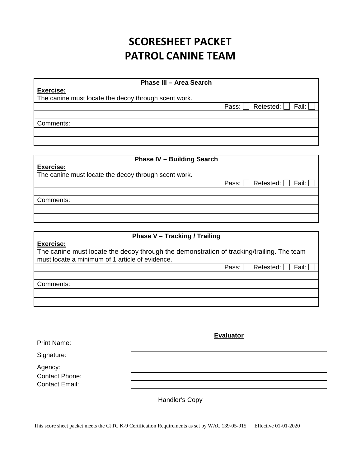**Phase III – Area Search** 

#### **Exercise:**

The canine must locate the decoy through scent work.

Comments:

#### **Phase IV – Building Search**

# **Exercise:**

The canine must locate the decoy through scent work.

Comments:

#### **Phase V – Tracking / Trailing**

#### **Exercise:**

The canine must locate the decoy through the demonstration of tracking/trailing. The team must locate a minimum of 1 article of evidence.

Pass:  $\Box$  Retested:  $\Box$  Fail:  $\Box$ 

Pass:  $\Box$  Retested:  $\Box$  Fail:

Pass:  $\Box$  Retested:  $\Box$  Fail:  $\Box$ 

Comments:

|                           | <b>Evaluator</b> |
|---------------------------|------------------|
| <b>Print Name:</b>        |                  |
| Signature:                |                  |
| Agency:<br>Contact Phone: |                  |
| <b>Contact Email:</b>     |                  |
|                           |                  |

Handler's Copy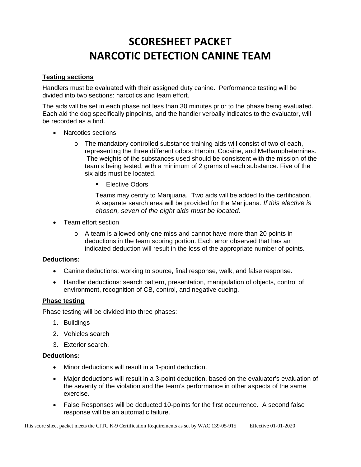#### **Testing sections**

Handlers must be evaluated with their assigned duty canine. Performance testing will be divided into two sections: narcotics and team effort.

The aids will be set in each phase not less than 30 minutes prior to the phase being evaluated. Each aid the dog specifically pinpoints, and the handler verbally indicates to the evaluator, will be recorded as a find.

- Narcotics sections
	- $\circ$  The mandatory controlled substance training aids will consist of two of each, representing the three different odors: Heroin, Cocaine, and Methamphetamines. The weights of the substances used should be consistent with the mission of the team's being tested, with a minimum of 2 grams of each substance. Five of the six aids must be located.
		- **Elective Odors**

Teams may certify to Marijuana. Two aids will be added to the certification. A separate search area will be provided for the Marijuana. *If this elective is chosen, seven of the eight aids must be located.*

- Team effort section
	- o A team is allowed only one miss and cannot have more than 20 points in deductions in the team scoring portion. Each error observed that has an indicated deduction will result in the loss of the appropriate number of points.

#### **Deductions:**

- Canine deductions: working to source, final response, walk, and false response.
- Handler deductions: search pattern, presentation, manipulation of objects, control of environment, recognition of CB, control, and negative cueing.

#### **Phase testing**

Phase testing will be divided into three phases:

- 1. Buildings
- 2. Vehicles search
- 3. Exterior search.

#### **Deductions:**

- Minor deductions will result in a 1-point deduction.
- Major deductions will result in a 3-point deduction, based on the evaluator's evaluation of the severity of the violation and the team's performance in other aspects of the same exercise.
- False Responses will be deducted 10-points for the first occurrence. A second false response will be an automatic failure.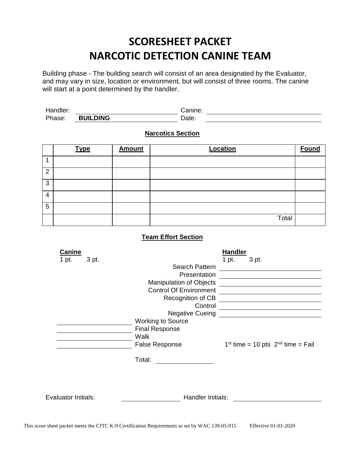Building phase - The building search will consist of an area designated by the Evaluator, and may vary in size, location or environment, but will consist of three rooms. The canine will start at a point determined by the handler.

Handler: Canine: Phase: **BUILDING** Date:

#### **Narcotics Section**

|                | <b>Type</b> | <b>Amount</b> | Location | <b>Found</b> |
|----------------|-------------|---------------|----------|--------------|
|                |             |               |          |              |
| $\overline{2}$ |             |               |          |              |
| 3              |             |               |          |              |
| 4              |             |               |          |              |
| 5              |             |               |          |              |
|                |             |               | Total    |              |

| Canine              |                                | <b>Handler</b>                        |
|---------------------|--------------------------------|---------------------------------------|
| 3 pt.<br>1 pt.      |                                | 1 pt.<br>3 pt.                        |
|                     | Search Pattern                 |                                       |
|                     | Presentation                   |                                       |
|                     | <b>Manipulation of Objects</b> |                                       |
|                     | <b>Control Of Environment</b>  |                                       |
|                     | Recognition of CB              |                                       |
|                     | Control                        |                                       |
|                     | <b>Negative Cueing</b>         |                                       |
|                     | <b>Working to Source</b>       |                                       |
|                     | <b>Final Response</b>          |                                       |
|                     | Walk                           |                                       |
|                     | <b>False Response</b>          | $1st$ time = 10 pts $2nd$ time = Fail |
|                     |                                |                                       |
|                     | Total:                         |                                       |
|                     |                                |                                       |
|                     |                                |                                       |
|                     |                                |                                       |
|                     |                                |                                       |
| Evaluator Initials: | Handler Initials:              |                                       |
|                     |                                |                                       |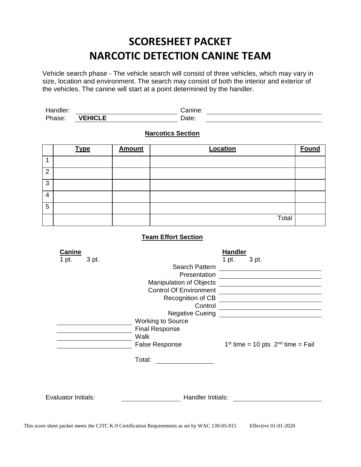Vehicle search phase - The vehicle search will consist of three vehicles, which may vary in size, location and environment. The search may consist of both the interior and exterior of the vehicles. The canine will start at a point determined by the handler.

| Handler: |                | Canine: |  |
|----------|----------------|---------|--|
| Phase:   | <b>VEHICLE</b> | Date:   |  |

#### **Narcotics Section**

|                | <b>Type</b> | <b>Amount</b> | Location | <b>Found</b> |
|----------------|-------------|---------------|----------|--------------|
|                |             |               |          |              |
| $\overline{2}$ |             |               |          |              |
| 3              |             |               |          |              |
| $\overline{4}$ |             |               |          |              |
| 5              |             |               |          |              |
|                |             |               | Total    |              |

| Canine              |                                | <b>Handler</b>                        |
|---------------------|--------------------------------|---------------------------------------|
| 3 pt.<br>1 pt.      |                                | 1 pt.<br>3 pt.                        |
|                     | Search Pattern                 |                                       |
|                     | Presentation                   |                                       |
|                     | <b>Manipulation of Objects</b> |                                       |
|                     | <b>Control Of Environment</b>  |                                       |
|                     | Recognition of CB              |                                       |
|                     | Control                        |                                       |
|                     | <b>Negative Cueing</b>         |                                       |
|                     | <b>Working to Source</b>       |                                       |
|                     | <b>Final Response</b>          |                                       |
|                     | Walk                           |                                       |
|                     | <b>False Response</b>          | $1st$ time = 10 pts $2nd$ time = Fail |
|                     |                                |                                       |
|                     | Total:                         |                                       |
|                     |                                |                                       |
|                     |                                |                                       |
|                     |                                |                                       |
|                     |                                |                                       |
| Evaluator Initials: | Handler Initials:              |                                       |
|                     |                                |                                       |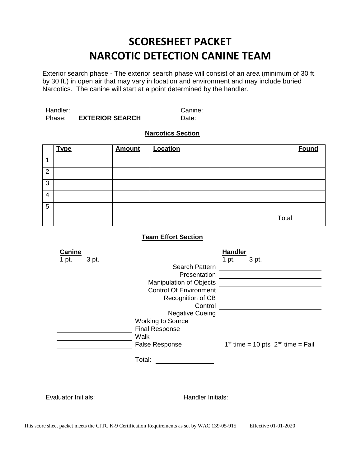Exterior search phase - The exterior search phase will consist of an area (minimum of 30 ft. by 30 ft.) in open air that may vary in location and environment and may include buried Narcotics. The canine will start at a point determined by the handler.

| Handler: |                        | Canıne: |
|----------|------------------------|---------|
| Phase:   | <b>EXTERIOR SEARCH</b> | Date:   |

### **Narcotics Section**

|                | <b>Type</b> | <b>Amount</b> | Location | <b>Found</b> |
|----------------|-------------|---------------|----------|--------------|
|                |             |               |          |              |
| $\overline{2}$ |             |               |          |              |
| 3              |             |               |          |              |
| 4              |             |               |          |              |
| 5              |             |               |          |              |
|                |             |               | Total    |              |

| Canine              |                                | <b>Handler</b>                        |
|---------------------|--------------------------------|---------------------------------------|
| 3 pt.<br>1 pt.      |                                | 1 pt.<br>3 pt.                        |
|                     | Search Pattern                 |                                       |
|                     | Presentation                   |                                       |
|                     | <b>Manipulation of Objects</b> |                                       |
|                     | <b>Control Of Environment</b>  |                                       |
|                     | Recognition of CB              |                                       |
|                     | Control                        |                                       |
|                     | <b>Negative Cueing</b>         |                                       |
|                     | <b>Working to Source</b>       |                                       |
|                     | <b>Final Response</b>          |                                       |
|                     | Walk                           |                                       |
|                     | <b>False Response</b>          | $1st$ time = 10 pts $2nd$ time = Fail |
|                     |                                |                                       |
|                     | Total:                         |                                       |
|                     |                                |                                       |
|                     |                                |                                       |
|                     |                                |                                       |
| Evaluator Initials: | Handler Initials:              |                                       |
|                     |                                |                                       |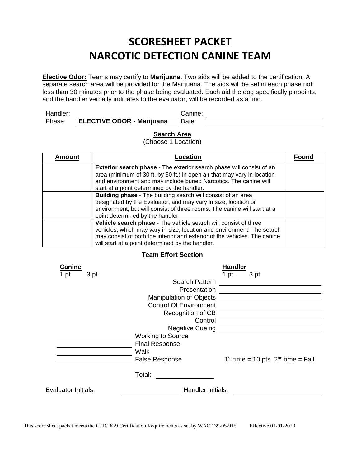**Elective Odor:** Teams may certify to **Marijuana**. Two aids will be added to the certification. A separate search area will be provided for the Marijuana. The aids will be set in each phase not less than 30 minutes prior to the phase being evaluated. Each aid the dog specifically pinpoints, and the handler verbally indicates to the evaluator, will be recorded as a find.

| Handler: |                                  | Canine: |  |
|----------|----------------------------------|---------|--|
| Phase:   | <b>ELECTIVE ODOR - Marijuana</b> | Date:   |  |

#### **Search Area**

(Choose 1 Location)

| <b>Amount</b> | Location                                                                                                                                                                                                                                                                    | Founc |
|---------------|-----------------------------------------------------------------------------------------------------------------------------------------------------------------------------------------------------------------------------------------------------------------------------|-------|
|               | <b>Exterior search phase</b> - The exterior search phase will consist of an<br>area (minimum of 30 ft. by 30 ft.) in open air that may vary in location<br>and environment and may include buried Narcotics. The canine will<br>start at a point determined by the handler. |       |
|               | <b>Building phase</b> - The building search will consist of an area<br>designated by the Evaluator, and may vary in size, location or<br>environment, but will consist of three rooms. The canine will start at a<br>point determined by the handler.                       |       |
|               | Vehicle search phase - The vehicle search will consist of three<br>vehicles, which may vary in size, location and environment. The search<br>may consist of both the interior and exterior of the vehicles. The canine<br>will start at a point determined by the handler.  |       |

| <b>Canine</b>              |                                | <b>Handler</b> |                                       |
|----------------------------|--------------------------------|----------------|---------------------------------------|
| 1 pt.<br>3 pt.             |                                | 1 pt.          | 3 pt.                                 |
|                            | Search Pattern                 |                |                                       |
|                            | Presentation                   |                |                                       |
|                            | <b>Manipulation of Objects</b> |                |                                       |
|                            | <b>Control Of Environment</b>  |                |                                       |
|                            | Recognition of CB              |                |                                       |
|                            | Control                        |                |                                       |
|                            | <b>Negative Cueing</b>         |                |                                       |
|                            | <b>Working to Source</b>       |                |                                       |
|                            | <b>Final Response</b>          |                |                                       |
|                            | Walk                           |                |                                       |
|                            | <b>False Response</b>          |                | $1st$ time = 10 pts $2nd$ time = Fail |
|                            | Total:                         |                |                                       |
| <b>Evaluator Initials:</b> | Handler Initials:              |                |                                       |
|                            |                                |                |                                       |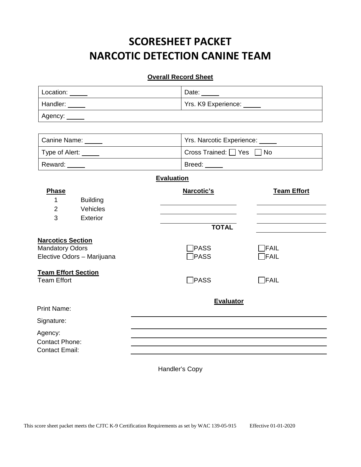#### **Overall Record Sheet**

| Location: | Date:               |
|-----------|---------------------|
| Handler:  | Yrs. K9 Experience: |
| Agency:   |                     |

| Canine Name:   | Yrs. Narcotic Experience:                  |  |
|----------------|--------------------------------------------|--|
| Type of Alert: | $\Box$ Cross Trained: $\Box$ Yes $\Box$ No |  |
| Reward:        | Breed:                                     |  |

### **Evaluation**

| Phase<br><b>Building</b><br>1<br>$\overline{2}$<br>Vehicles                      | Narcotic's                 | <b>Team Effort</b>   |
|----------------------------------------------------------------------------------|----------------------------|----------------------|
| 3<br>Exterior                                                                    | <b>TOTAL</b>               |                      |
| <b>Narcotics Section</b><br><b>Mandatory Odors</b><br>Elective Odors - Marijuana | <b>PASS</b><br>$\neg$ PASS | <b>FAIL</b><br>FAIL] |
| <b>Team Effort Section</b><br><b>Team Effort</b>                                 | $\bigcap$ PASS             | $\neg$ FAIL          |
| <b>Print Name:</b>                                                               | <b>Evaluator</b>           |                      |
| Signature:                                                                       |                            |                      |
| Agency:<br><b>Contact Phone:</b><br><b>Contact Email:</b>                        |                            |                      |

Handler's Copy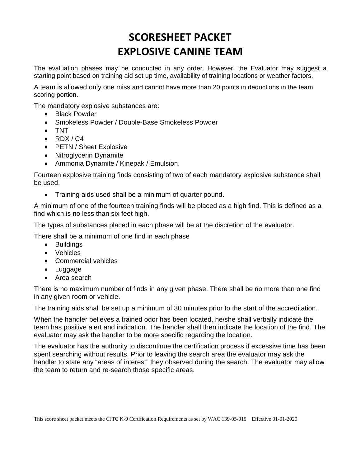The evaluation phases may be conducted in any order. However, the Evaluator may suggest a starting point based on training aid set up time, availability of training locations or weather factors.

A team is allowed only one miss and cannot have more than 20 points in deductions in the team scoring portion.

The mandatory explosive substances are:

- Black Powder
- Smokeless Powder / Double-Base Smokeless Powder
- TNT
- $\bullet$  RDX/C4
- PETN / Sheet Explosive
- Nitroglycerin Dynamite
- Ammonia Dynamite / Kinepak / Emulsion.

Fourteen explosive training finds consisting of two of each mandatory explosive substance shall be used.

• Training aids used shall be a minimum of quarter pound.

A minimum of one of the fourteen training finds will be placed as a high find. This is defined as a find which is no less than six feet high.

The types of substances placed in each phase will be at the discretion of the evaluator.

There shall be a minimum of one find in each phase

- Buildings
- Vehicles
- Commercial vehicles
- Luggage
- Area search

There is no maximum number of finds in any given phase. There shall be no more than one find in any given room or vehicle.

The training aids shall be set up a minimum of 30 minutes prior to the start of the accreditation.

When the handler believes a trained odor has been located, he/she shall verbally indicate the team has positive alert and indication. The handler shall then indicate the location of the find. The evaluator may ask the handler to be more specific regarding the location.

The evaluator has the authority to discontinue the certification process if excessive time has been spent searching without results. Prior to leaving the search area the evaluator may ask the handler to state any "areas of interest" they observed during the search. The evaluator may allow the team to return and re-search those specific areas.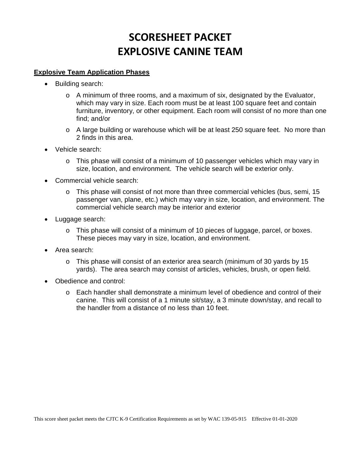#### **Explosive Team Application Phases**

- Building search:
	- $\circ$  A minimum of three rooms, and a maximum of six, designated by the Evaluator, which may vary in size. Each room must be at least 100 square feet and contain furniture, inventory, or other equipment. Each room will consist of no more than one find; and/or
	- o A large building or warehouse which will be at least 250 square feet. No more than 2 finds in this area.
- Vehicle search:
	- o This phase will consist of a minimum of 10 passenger vehicles which may vary in size, location, and environment. The vehicle search will be exterior only.
- Commercial vehicle search:
	- $\circ$  This phase will consist of not more than three commercial vehicles (bus, semi, 15 passenger van, plane, etc.) which may vary in size, location, and environment. The commercial vehicle search may be interior and exterior
- Luggage search:
	- $\circ$  This phase will consist of a minimum of 10 pieces of luggage, parcel, or boxes. These pieces may vary in size, location, and environment.
- Area search:
	- $\circ$  This phase will consist of an exterior area search (minimum of 30 yards by 15 yards). The area search may consist of articles, vehicles, brush, or open field.
- Obedience and control:
	- o Each handler shall demonstrate a minimum level of obedience and control of their canine. This will consist of a 1 minute sit/stay, a 3 minute down/stay, and recall to the handler from a distance of no less than 10 feet.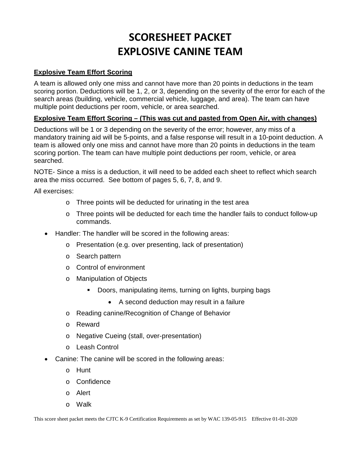### **Explosive Team Effort Scoring**

A team is allowed only one miss and cannot have more than 20 points in deductions in the team scoring portion. Deductions will be 1, 2, or 3, depending on the severity of the error for each of the search areas (building, vehicle, commercial vehicle, luggage, and area). The team can have multiple point deductions per room, vehicle, or area searched.

### **Explosive Team Effort Scoring – (This was cut and pasted from Open Air, with changes)**

Deductions will be 1 or 3 depending on the severity of the error; however, any miss of a mandatory training aid will be 5-points, and a false response will result in a 10-point deduction. A team is allowed only one miss and cannot have more than 20 points in deductions in the team scoring portion. The team can have multiple point deductions per room, vehicle, or area searched.

NOTE- Since a miss is a deduction, it will need to be added each sheet to reflect which search area the miss occurred. See bottom of pages 5, 6, 7, 8, and 9.

All exercises:

- o Three points will be deducted for urinating in the test area
- o Three points will be deducted for each time the handler fails to conduct follow-up commands.
- Handler: The handler will be scored in the following areas:
	- o Presentation (e.g. over presenting, lack of presentation)
	- o Search pattern
	- o Control of environment
	- o Manipulation of Objects
		- **Doors, manipulating items, turning on lights, burping bags** 
			- A second deduction may result in a failure
	- o Reading canine/Recognition of Change of Behavior
	- o Reward
	- o Negative Cueing (stall, over-presentation)
	- o Leash Control
- Canine: The canine will be scored in the following areas:
	- o Hunt
	- o Confidence
	- o Alert
	- o Walk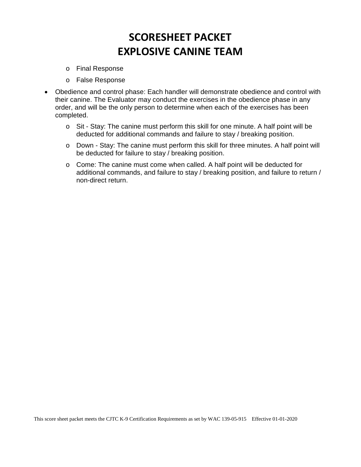- o Final Response
- o False Response
- Obedience and control phase: Each handler will demonstrate obedience and control with their canine. The Evaluator may conduct the exercises in the obedience phase in any order, and will be the only person to determine when each of the exercises has been completed.
	- o Sit Stay: The canine must perform this skill for one minute. A half point will be deducted for additional commands and failure to stay / breaking position.
	- o Down Stay: The canine must perform this skill for three minutes. A half point will be deducted for failure to stay / breaking position.
	- o Come: The canine must come when called. A half point will be deducted for additional commands, and failure to stay / breaking position, and failure to return / non-direct return.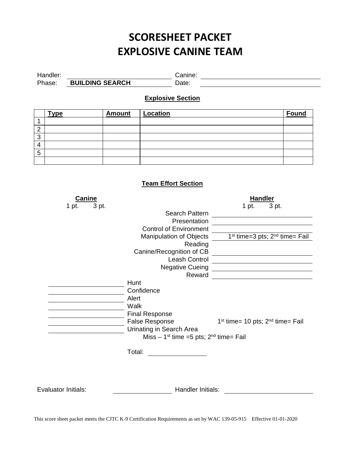Handler: Canine:

**Explosive Section**

Phase: **BUILDING SEARCH** Date:

|                         | <u>Type</u>                | <b>Amount</b> | <b>Location</b>                                                                                                       |                                                        | <u>Found</u> |
|-------------------------|----------------------------|---------------|-----------------------------------------------------------------------------------------------------------------------|--------------------------------------------------------|--------------|
| $\mathbf 1$             |                            |               |                                                                                                                       |                                                        |              |
| $\overline{2}$          |                            |               |                                                                                                                       |                                                        |              |
| $\overline{3}$          |                            |               |                                                                                                                       |                                                        |              |
| $\overline{\mathbf{4}}$ |                            |               |                                                                                                                       |                                                        |              |
| $\overline{5}$          |                            |               |                                                                                                                       |                                                        |              |
|                         |                            |               |                                                                                                                       |                                                        |              |
|                         |                            |               | <b>Team Effort Section</b>                                                                                            |                                                        |              |
|                         | Canine                     |               |                                                                                                                       | <b>Handler</b>                                         |              |
|                         | 1 pt.<br>3 pt.             |               |                                                                                                                       | 1 pt.<br>3 pt.                                         |              |
|                         |                            |               | Search Pattern                                                                                                        |                                                        |              |
|                         |                            |               | Presentation                                                                                                          |                                                        |              |
|                         |                            |               | <b>Control of Environment</b>                                                                                         |                                                        |              |
|                         |                            |               | Manipulation of Objects                                                                                               | 1 <sup>st</sup> time=3 pts; 2 <sup>nd</sup> time= Fail |              |
|                         |                            |               | Reading<br>Canine/Recognition of CB                                                                                   |                                                        |              |
|                         |                            |               |                                                                                                                       |                                                        |              |
|                         |                            |               | Leash Control                                                                                                         |                                                        |              |
|                         |                            |               | <b>Negative Cueing</b><br>Reward                                                                                      |                                                        |              |
|                         |                            | Hunt          |                                                                                                                       |                                                        |              |
|                         |                            |               | Confidence                                                                                                            |                                                        |              |
|                         |                            | Alert         |                                                                                                                       |                                                        |              |
|                         |                            | Walk          |                                                                                                                       |                                                        |              |
|                         |                            |               | <b>Final Response</b>                                                                                                 |                                                        |              |
|                         |                            |               | <b>False Response</b>                                                                                                 | $1st$ time= 10 pts; $2nd$ time= Fail                   |              |
|                         |                            |               | Urinating in Search Area                                                                                              |                                                        |              |
|                         |                            |               | Miss $-1$ <sup>st</sup> time =5 pts; $2nd$ time= Fail                                                                 |                                                        |              |
|                         |                            | Total:        | <u> a shekara ta 1999 a shekara ta 1991 a shekara ta 1991 a shekara ta 1991 a shekara ta 1991 a shekara ta 1991 a</u> |                                                        |              |
|                         |                            |               |                                                                                                                       |                                                        |              |
|                         | <b>Evaluator Initials:</b> |               | Handler Initials:                                                                                                     |                                                        |              |
|                         |                            |               |                                                                                                                       |                                                        |              |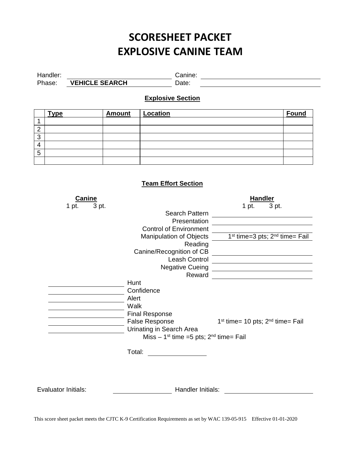Handler: Canine: Canine: Canine: Canine: Canine: Canine: Canine: Canine: Canine: Canine: Canine: Canine: Canine: Canine: Canine: Canine: Canine: Canine: Canine: Canine: Canine: Canine: Canine: Canine: Canine: Canine: Canin

**Explosive Section**

**Type Amount Location Found**

Phase: **VEHICLE SEARCH** Date:

1 2

| 3              |                                 |                       |                                                                                                                    |                                                                                                                        |                                                               |       |  |
|----------------|---------------------------------|-----------------------|--------------------------------------------------------------------------------------------------------------------|------------------------------------------------------------------------------------------------------------------------|---------------------------------------------------------------|-------|--|
| 4              |                                 |                       |                                                                                                                    |                                                                                                                        |                                                               |       |  |
| $\overline{5}$ |                                 |                       |                                                                                                                    |                                                                                                                        |                                                               |       |  |
|                |                                 |                       |                                                                                                                    |                                                                                                                        |                                                               |       |  |
|                | <b>Canine</b><br>3 pt.<br>1 pt. |                       | <b>Team Effort Section</b><br><b>Control of Environment</b><br>Manipulation of Objects<br>Canine/Recognition of CB | Search Pattern<br>Presentation<br>Reading<br>Leash Control                                                             | <b>Handler</b><br>1 pt.<br>$1st$ time=3 pts; $2nd$ time= Fail | 3 pt. |  |
|                |                                 |                       |                                                                                                                    | <b>Negative Cueing</b>                                                                                                 |                                                               |       |  |
|                |                                 |                       |                                                                                                                    | Reward                                                                                                                 |                                                               |       |  |
|                |                                 | Hunt<br>Alert<br>Walk | Confidence<br><b>Final Response</b><br><b>False Response</b><br>Urinating in Search Area                           | Miss $-1^{st}$ time =5 pts; $2^{nd}$ time= Fail                                                                        | $1st$ time= 10 pts; $2nd$ time= Fail                          |       |  |
|                |                                 |                       |                                                                                                                    |                                                                                                                        |                                                               |       |  |
|                |                                 | Total:                |                                                                                                                    | <u> 1989 - Jan Stein Berlin, Stein Berlin, Stein Berlin, Stein Berlin, Stein Berlin, Stein Berlin, Stein Berlin, S</u> |                                                               |       |  |
|                | <b>Evaluator Initials:</b>      |                       |                                                                                                                    | Handler Initials:                                                                                                      |                                                               |       |  |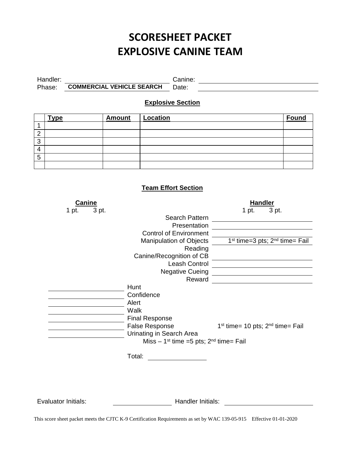Handler: Canine:

Phase: **COMMERCIAL VEHICLE SEARCH** Date:

**Explosive Section**

|        | <b>Type</b> | <b>Amount</b> | Location | <b>Found</b> |
|--------|-------------|---------------|----------|--------------|
|        |             |               |          |              |
| c<br>∠ |             |               |          |              |
| 3      |             |               |          |              |
| 4      |             |               |          |              |
| 5      |             |               |          |              |
|        |             |               |          |              |

### **Team Effort Section**

| <b>Canine</b><br>1 pt.<br>3 pt. | Search Pattern                                                                                                                                                       | <b>Handler</b><br>3 pt.<br>1 pt.                         |
|---------------------------------|----------------------------------------------------------------------------------------------------------------------------------------------------------------------|----------------------------------------------------------|
|                                 | Presentation                                                                                                                                                         |                                                          |
|                                 | <b>Control of Environment</b>                                                                                                                                        |                                                          |
|                                 | Manipulation of Objects                                                                                                                                              | $1st$ time=3 pts; $2nd$ time= Fail                       |
|                                 | Reading                                                                                                                                                              |                                                          |
|                                 | Canine/Recognition of CB                                                                                                                                             |                                                          |
|                                 | Leash Control                                                                                                                                                        |                                                          |
|                                 | <b>Negative Cueing</b>                                                                                                                                               |                                                          |
|                                 | Reward                                                                                                                                                               |                                                          |
|                                 | Hunt<br>Confidence<br>Alert<br>Walk<br><b>Final Response</b><br><b>False Response</b><br>Urinating in Search Area<br>Miss $-1^{st}$ time =5 pts; $2^{nd}$ time= Fail | 1 <sup>st</sup> time= 10 pts; 2 <sup>nd</sup> time= Fail |
|                                 | Total:                                                                                                                                                               |                                                          |
| Evaluator Initials:             | Handler Initials:                                                                                                                                                    |                                                          |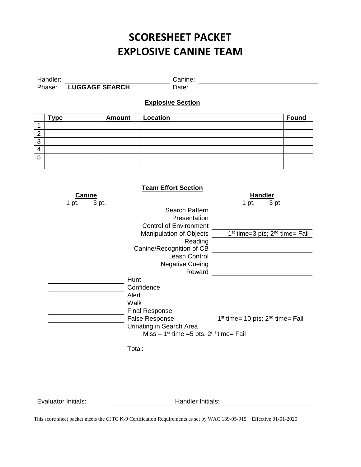| Handler: |                       | Canıne: |
|----------|-----------------------|---------|
| Phase:   | <b>LUGGAGE SEARCH</b> | Date:   |

### **Explosive Section**

|             | <b>Type</b> | <b>Amount</b> | Location | Found |
|-------------|-------------|---------------|----------|-------|
|             |             |               |          |       |
| $\sim$<br>∠ |             |               |          |       |
| 3           |             |               |          |       |
| 4           |             |               |          |       |
| 5           |             |               |          |       |
|             |             |               |          |       |

|                | <b>Team Effort Section</b>                      |                                                                                                                      |
|----------------|-------------------------------------------------|----------------------------------------------------------------------------------------------------------------------|
| <b>Canine</b>  |                                                 | <b>Handler</b>                                                                                                       |
| 3 pt.<br>1 pt. |                                                 | 3 pt.<br>1 pt.                                                                                                       |
|                | Search Pattern                                  |                                                                                                                      |
|                | Presentation                                    |                                                                                                                      |
|                | <b>Control of Environment</b>                   |                                                                                                                      |
|                | <b>Manipulation of Objects</b>                  | 1 <sup>st</sup> time=3 pts; 2 <sup>nd</sup> time= Fail                                                               |
|                | Reading                                         |                                                                                                                      |
|                | Canine/Recognition of CB                        |                                                                                                                      |
|                | Leash Control                                   |                                                                                                                      |
|                | <b>Negative Cueing</b>                          | <u> 1980 - Andrea Barbara, poeta espainiar político e a contrar a contrar a contrar a contrar a contrar a contra</u> |
|                | Reward                                          |                                                                                                                      |
|                | Hunt                                            |                                                                                                                      |
|                | Confidence                                      |                                                                                                                      |
|                | Alert                                           |                                                                                                                      |
|                | Walk                                            |                                                                                                                      |
|                | <b>Final Response</b>                           |                                                                                                                      |
|                | <b>False Response</b>                           | $1st$ time= 10 pts; $2nd$ time= Fail                                                                                 |
|                | Urinating in Search Area                        |                                                                                                                      |
|                | Miss $-1^{st}$ time =5 pts; $2^{nd}$ time= Fail |                                                                                                                      |
|                | Total:                                          |                                                                                                                      |
|                |                                                 |                                                                                                                      |
|                |                                                 |                                                                                                                      |
|                |                                                 |                                                                                                                      |
|                |                                                 |                                                                                                                      |
|                |                                                 |                                                                                                                      |

Evaluator Initials: Evaluator Initials: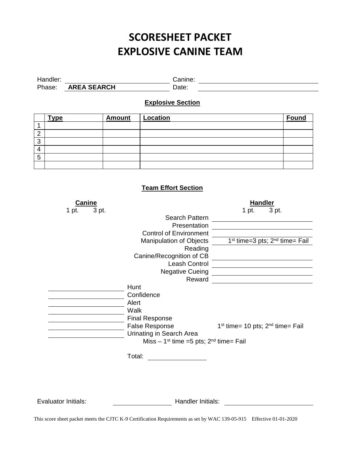| Handler: |                    | canine: |  |
|----------|--------------------|---------|--|
| Phase:   | <b>AREA SEARCH</b> | )ate:   |  |

## **Explosive Section**

|   | <b>Type</b> | <b>Amount</b> | Location | <b>Found</b> |
|---|-------------|---------------|----------|--------------|
|   |             |               |          |              |
| c |             |               |          |              |
| 3 |             |               |          |              |
|   |             |               |          |              |
| 5 |             |               |          |              |
|   |             |               |          |              |

### **Team Effort Section**

| <b>Canine</b>              |                                                       | <b>Handler</b>                       |
|----------------------------|-------------------------------------------------------|--------------------------------------|
| 1 pt.                      | 3 pt.<br>Search Pattern                               | 1 pt.<br>3 pt.                       |
|                            | Presentation                                          |                                      |
|                            | <b>Control of Environment</b>                         |                                      |
|                            | Manipulation of Objects                               | $1st$ time=3 pts; $2nd$ time= Fail   |
|                            | Reading                                               |                                      |
|                            | Canine/Recognition of CB                              |                                      |
|                            | Leash Control                                         |                                      |
|                            | <b>Negative Cueing</b>                                |                                      |
|                            | Reward                                                |                                      |
|                            | Hunt                                                  |                                      |
|                            | Confidence                                            |                                      |
|                            | Alert                                                 |                                      |
|                            | Walk                                                  |                                      |
|                            | <b>Final Response</b>                                 |                                      |
|                            | <b>False Response</b>                                 | $1st$ time= 10 pts; $2nd$ time= Fail |
|                            | Urinating in Search Area                              |                                      |
|                            | Miss $-1$ <sup>st</sup> time =5 pts; $2nd$ time= Fail |                                      |
|                            | Total:                                                |                                      |
|                            |                                                       |                                      |
|                            |                                                       |                                      |
|                            |                                                       |                                      |
|                            |                                                       |                                      |
| <b>Evaluator Initials:</b> | Handler Initials:                                     |                                      |
|                            |                                                       |                                      |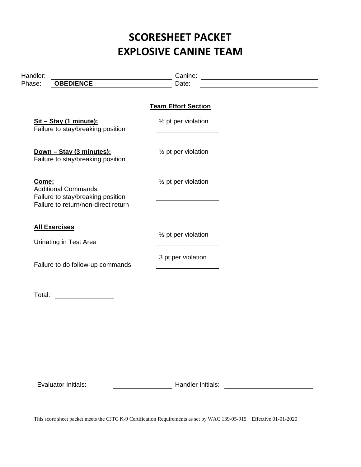| Handler:<br>Phase:   | <b>OBEDIENCE</b>                                                                                       | Date:                                                                                   |  |
|----------------------|--------------------------------------------------------------------------------------------------------|-----------------------------------------------------------------------------------------|--|
|                      |                                                                                                        | <b>Team Effort Section</b>                                                              |  |
|                      | Sit - Stay (1 minute):<br>Failure to stay/breaking position                                            | $\frac{1}{2}$ pt per violation                                                          |  |
|                      | <u>Down - Stay (3 minutes):</u><br>Failure to stay/breaking position                                   | $\frac{1}{2}$ pt per violation                                                          |  |
| Come:                | <b>Additional Commands</b><br>Failure to stay/breaking position<br>Failure to return/non-direct return | 1/ <sub>2</sub> pt per violation<br>the contract of the contract of the contract of the |  |
| <b>All Exercises</b> | <b>Urinating in Test Area</b>                                                                          | 1/ <sub>2</sub> pt per violation                                                        |  |
|                      | Failure to do follow-up commands                                                                       | 3 pt per violation                                                                      |  |
|                      |                                                                                                        |                                                                                         |  |
|                      |                                                                                                        |                                                                                         |  |

Evaluator Initials: Evaluator Initials: Handler Initials: